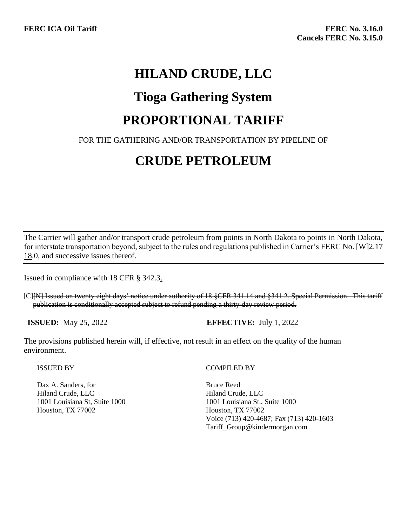## **HILAND CRUDE, LLC**

### **Tioga Gathering System**

### **PROPORTIONAL TARIFF**

### FOR THE GATHERING AND/OR TRANSPORTATION BY PIPELINE OF

# **CRUDE PETROLEUM**

The Carrier will gather and/or transport crude petroleum from points in North Dakota to points in North Dakota, for interstate transportation beyond, subject to the rules and regulations published in Carrier's FERC No. [W]2.17 18.0, and successive issues thereof.

Issued in compliance with 18 CFR § 342.3.

[C][N] Issued on twenty eight days' notice under authority of 18 §CFR 341.14 and §341.2, Special Permission. This tariff publication is conditionally accepted subject to refund pending a thirty-day review period.

**ISSUED:** May 25, 2022 **EFFECTIVE:** July 1, 2022

The provisions published herein will, if effective, not result in an effect on the quality of the human environment.

ISSUED BY

Dax A. Sanders, for Hiland Crude, LLC 1001 Louisiana St, Suite 1000 Houston, TX 77002

#### COMPILED BY

Bruce Reed Hiland Crude, LLC 1001 Louisiana St., Suite 1000 Houston, TX 77002 Voice (713) 420-4687; Fax (713) 420-1603 Tariff\_Group@kindermorgan.com